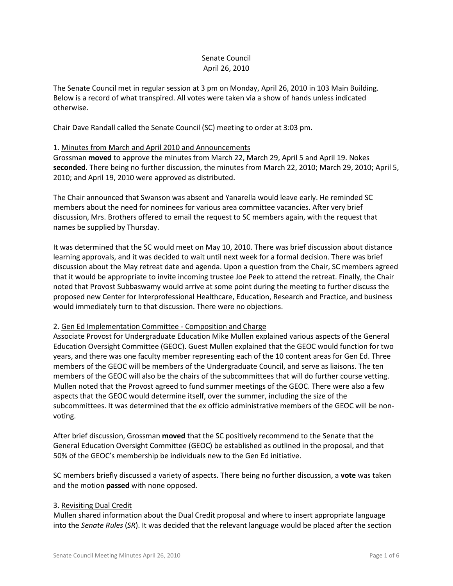# Senate Council April 26, 2010

The Senate Council met in regular session at 3 pm on Monday, April 26, 2010 in 103 Main Building. Below is a record of what transpired. All votes were taken via a show of hands unless indicated otherwise.

Chair Dave Randall called the Senate Council (SC) meeting to order at 3:03 pm.

# 1. Minutes from March and April 2010 and Announcements

Grossman **moved** to approve the minutes from March 22, March 29, April 5 and April 19. Nokes **seconded**. There being no further discussion, the minutes from March 22, 2010; March 29, 2010; April 5, 2010; and April 19, 2010 were approved as distributed.

The Chair announced that Swanson was absent and Yanarella would leave early. He reminded SC members about the need for nominees for various area committee vacancies. After very brief discussion, Mrs. Brothers offered to email the request to SC members again, with the request that names be supplied by Thursday.

It was determined that the SC would meet on May 10, 2010. There was brief discussion about distance learning approvals, and it was decided to wait until next week for a formal decision. There was brief discussion about the May retreat date and agenda. Upon a question from the Chair, SC members agreed that it would be appropriate to invite incoming trustee Joe Peek to attend the retreat. Finally, the Chair noted that Provost Subbaswamy would arrive at some point during the meeting to further discuss the proposed new Center for Interprofessional Healthcare, Education, Research and Practice, and business would immediately turn to that discussion. There were no objections.

## 2. Gen Ed Implementation Committee - Composition and Charge

Associate Provost for Undergraduate Education Mike Mullen explained various aspects of the General Education Oversight Committee (GEOC). Guest Mullen explained that the GEOC would function for two years, and there was one faculty member representing each of the 10 content areas for Gen Ed. Three members of the GEOC will be members of the Undergraduate Council, and serve as liaisons. The ten members of the GEOC will also be the chairs of the subcommittees that will do further course vetting. Mullen noted that the Provost agreed to fund summer meetings of the GEOC. There were also a few aspects that the GEOC would determine itself, over the summer, including the size of the subcommittees. It was determined that the ex officio administrative members of the GEOC will be nonvoting.

After brief discussion, Grossman **moved** that the SC positively recommend to the Senate that the General Education Oversight Committee (GEOC) be established as outlined in the proposal, and that 50% of the GEOC's membership be individuals new to the Gen Ed initiative.

SC members briefly discussed a variety of aspects. There being no further discussion, a **vote** was taken and the motion **passed** with none opposed.

## 3. Revisiting Dual Credit

Mullen shared information about the Dual Credit proposal and where to insert appropriate language into the *Senate Rules* (*SR*). It was decided that the relevant language would be placed after the section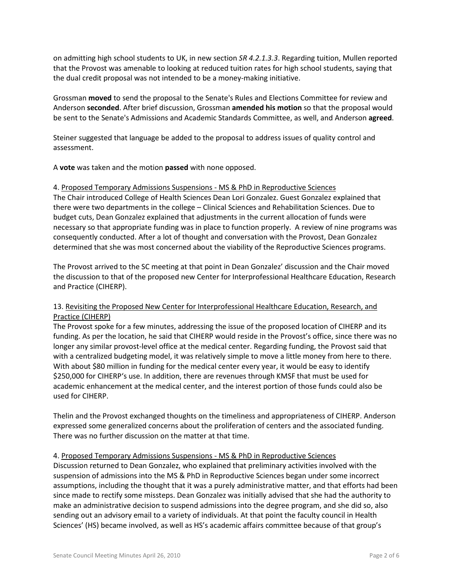on admitting high school students to UK, in new section *SR 4.2.1.3.3*. Regarding tuition, Mullen reported that the Provost was amenable to looking at reduced tuition rates for high school students, saying that the dual credit proposal was not intended to be a money-making initiative.

Grossman **moved** to send the proposal to the Senate's Rules and Elections Committee for review and Anderson **seconded**. After brief discussion, Grossman **amended his motion** so that the proposal would be sent to the Senate's Admissions and Academic Standards Committee, as well, and Anderson **agreed**.

Steiner suggested that language be added to the proposal to address issues of quality control and assessment.

A **vote** was taken and the motion **passed** with none opposed.

## 4. Proposed Temporary Admissions Suspensions - MS & PhD in Reproductive Sciences

The Chair introduced College of Health Sciences Dean Lori Gonzalez. Guest Gonzalez explained that there were two departments in the college – Clinical Sciences and Rehabilitation Sciences. Due to budget cuts, Dean Gonzalez explained that adjustments in the current allocation of funds were necessary so that appropriate funding was in place to function properly. A review of nine programs was consequently conducted. After a lot of thought and conversation with the Provost, Dean Gonzalez determined that she was most concerned about the viability of the Reproductive Sciences programs.

The Provost arrived to the SC meeting at that point in Dean Gonzalez' discussion and the Chair moved the discussion to that of the proposed new Center for Interprofessional Healthcare Education, Research and Practice (CIHERP).

# 13. Revisiting the Proposed New Center for Interprofessional Healthcare Education, Research, and Practice (CIHERP)

The Provost spoke for a few minutes, addressing the issue of the proposed location of CIHERP and its funding. As per the location, he said that CIHERP would reside in the Provost's office, since there was no longer any similar provost-level office at the medical center. Regarding funding, the Provost said that with a centralized budgeting model, it was relatively simple to move a little money from here to there. With about \$80 million in funding for the medical center every year, it would be easy to identify \$250,000 for CIHERP's use. In addition, there are revenues through KMSF that must be used for academic enhancement at the medical center, and the interest portion of those funds could also be used for CIHERP.

Thelin and the Provost exchanged thoughts on the timeliness and appropriateness of CIHERP. Anderson expressed some generalized concerns about the proliferation of centers and the associated funding. There was no further discussion on the matter at that time.

## 4. Proposed Temporary Admissions Suspensions - MS & PhD in Reproductive Sciences

Discussion returned to Dean Gonzalez, who explained that preliminary activities involved with the suspension of admissions into the MS & PhD in Reproductive Sciences began under some incorrect assumptions, including the thought that it was a purely administrative matter, and that efforts had been since made to rectify some missteps. Dean Gonzalez was initially advised that she had the authority to make an administrative decision to suspend admissions into the degree program, and she did so, also sending out an advisory email to a variety of individuals. At that point the faculty council in Health Sciences' (HS) became involved, as well as HS's academic affairs committee because of that group's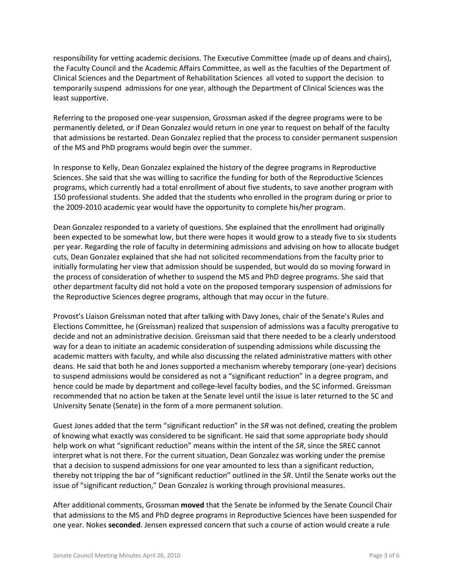responsibility for vetting academic decisions. The Executive Committee (made up of deans and chairs), the Faculty Council and the Academic Affairs Committee, as well as the faculties of the Department of Clinical Sciences and the Department of Rehabilitation Sciences all voted to support the decision to temporarily suspend admissions for one year, although the Department of Clinical Sciences was the least supportive.

Referring to the proposed one-year suspension, Grossman asked if the degree programs were to be permanently deleted, or if Dean Gonzalez would return in one year to request on behalf of the faculty that admissions be restarted. Dean Gonzalez replied that the process to consider permanent suspension of the MS and PhD programs would begin over the summer.

In response to Kelly, Dean Gonzalez explained the history of the degree programs in Reproductive Sciences. She said that she was willing to sacrifice the funding for both of the Reproductive Sciences programs, which currently had a total enrollment of about five students, to save another program with 150 professional students. She added that the students who enrolled in the program during or prior to the 2009-2010 academic year would have the opportunity to complete his/her program.

Dean Gonzalez responded to a variety of questions. She explained that the enrollment had originally been expected to be somewhat low, but there were hopes it would grow to a steady five to six students per year. Regarding the role of faculty in determining admissions and advising on how to allocate budget cuts, Dean Gonzalez explained that she had not solicited recommendations from the faculty prior to initially formulating her view that admission should be suspended, but would do so moving forward in the process of consideration of whether to suspend the MS and PhD degree programs. She said that other department faculty did not hold a vote on the proposed temporary suspension of admissions for the Reproductive Sciences degree programs, although that may occur in the future.

Provost's Liaison Greissman noted that after talking with Davy Jones, chair of the Senate's Rules and Elections Committee, he (Greissman) realized that suspension of admissions was a faculty prerogative to decide and not an administrative decision. Greissman said that there needed to be a clearly understood way for a dean to initiate an academic consideration of suspending admissions while discussing the academic matters with faculty, and while also discussing the related administrative matters with other deans. He said that both he and Jones supported a mechanism whereby temporary (one-year) decisions to suspend admissions would be considered as not a "significant reduction" in a degree program, and hence could be made by department and college-level faculty bodies, and the SC informed. Greissman recommended that no action be taken at the Senate level until the issue is later returned to the SC and University Senate (Senate) in the form of a more permanent solution.

Guest Jones added that the term "significant reduction" in the *SR* was not defined, creating the problem of knowing what exactly was considered to be significant. He said that some appropriate body should help work on what "significant reduction" means within the intent of the *SR*, since the SREC cannot interpret what is not there. For the current situation, Dean Gonzalez was working under the premise that a decision to suspend admissions for one year amounted to less than a significant reduction, thereby not tripping the bar of "significant reduction" outlined in the *SR*. Until the Senate works out the issue of "significant reduction," Dean Gonzalez is working through provisional measures.

After additional comments, Grossman **moved** that the Senate be informed by the Senate Council Chair that admissions to the MS and PhD degree programs in Reproductive Sciences have been suspended for one year. Nokes **seconded**. Jensen expressed concern that such a course of action would create a rule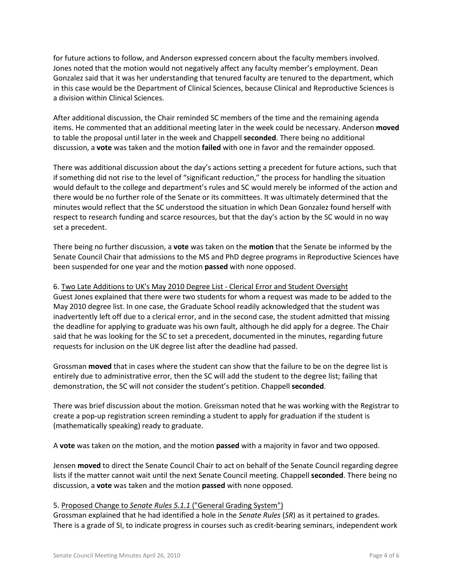for future actions to follow, and Anderson expressed concern about the faculty members involved. Jones noted that the motion would not negatively affect any faculty member's employment. Dean Gonzalez said that it was her understanding that tenured faculty are tenured to the department, which in this case would be the Department of Clinical Sciences, because Clinical and Reproductive Sciences is a division within Clinical Sciences.

After additional discussion, the Chair reminded SC members of the time and the remaining agenda items. He commented that an additional meeting later in the week could be necessary. Anderson **moved** to table the proposal until later in the week and Chappell **seconded**. There being no additional discussion, a **vote** was taken and the motion **failed** with one in favor and the remainder opposed.

There was additional discussion about the day's actions setting a precedent for future actions, such that if something did not rise to the level of "significant reduction," the process for handling the situation would default to the college and department's rules and SC would merely be informed of the action and there would be no further role of the Senate or its committees. It was ultimately determined that the minutes would reflect that the SC understood the situation in which Dean Gonzalez found herself with respect to research funding and scarce resources, but that the day's action by the SC would in no way set a precedent.

There being no further discussion, a **vote** was taken on the **motion** that the Senate be informed by the Senate Council Chair that admissions to the MS and PhD degree programs in Reproductive Sciences have been suspended for one year and the motion **passed** with none opposed.

# 6. Two Late Additions to UK's May 2010 Degree List - Clerical Error and Student Oversight

Guest Jones explained that there were two students for whom a request was made to be added to the May 2010 degree list. In one case, the Graduate School readily acknowledged that the student was inadvertently left off due to a clerical error, and in the second case, the student admitted that missing the deadline for applying to graduate was his own fault, although he did apply for a degree. The Chair said that he was looking for the SC to set a precedent, documented in the minutes, regarding future requests for inclusion on the UK degree list after the deadline had passed.

Grossman **moved** that in cases where the student can show that the failure to be on the degree list is entirely due to administrative error, then the SC will add the student to the degree list; failing that demonstration, the SC will not consider the student's petition. Chappell **seconded**.

There was brief discussion about the motion. Greissman noted that he was working with the Registrar to create a pop-up registration screen reminding a student to apply for graduation if the student is (mathematically speaking) ready to graduate.

A **vote** was taken on the motion, and the motion **passed** with a majority in favor and two opposed.

Jensen **moved** to direct the Senate Council Chair to act on behalf of the Senate Council regarding degree lists if the matter cannot wait until the next Senate Council meeting. Chappell **seconded**. There being no discussion, a **vote** was taken and the motion **passed** with none opposed.

# 5. Proposed Change to *Senate Rules 5.1.1* ("General Grading System")

Grossman explained that he had identified a hole in the *Senate Rules* (*SR*) as it pertained to grades. There is a grade of SI, to indicate progress in courses such as credit-bearing seminars, independent work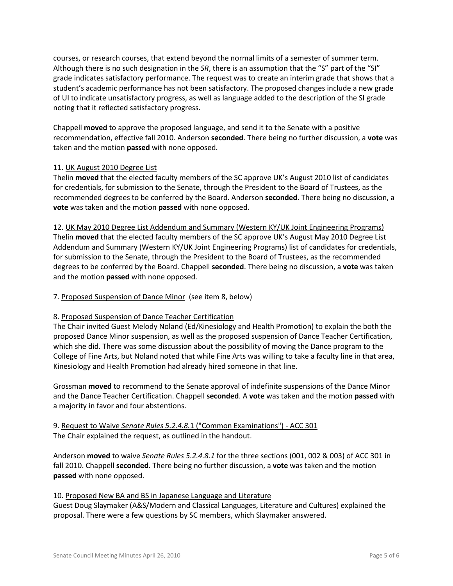courses, or research courses, that extend beyond the normal limits of a semester of summer term. Although there is no such designation in the *SR*, there is an assumption that the "S" part of the "SI" grade indicates satisfactory performance. The request was to create an interim grade that shows that a student's academic performance has not been satisfactory. The proposed changes include a new grade of UI to indicate unsatisfactory progress, as well as language added to the description of the SI grade noting that it reflected satisfactory progress.

Chappell **moved** to approve the proposed language, and send it to the Senate with a positive recommendation, effective fall 2010. Anderson **seconded**. There being no further discussion, a **vote** was taken and the motion **passed** with none opposed.

## 11. UK August 2010 Degree List

Thelin **moved** that the elected faculty members of the SC approve UK's August 2010 list of candidates for credentials, for submission to the Senate, through the President to the Board of Trustees, as the recommended degrees to be conferred by the Board. Anderson **seconded**. There being no discussion, a **vote** was taken and the motion **passed** with none opposed.

12. UK May 2010 Degree List Addendum and Summary (Western KY/UK Joint Engineering Programs) Thelin **moved** that the elected faculty members of the SC approve UK's August May 2010 Degree List Addendum and Summary (Western KY/UK Joint Engineering Programs) list of candidates for credentials, for submission to the Senate, through the President to the Board of Trustees, as the recommended degrees to be conferred by the Board. Chappell **seconded**. There being no discussion, a **vote** was taken and the motion **passed** with none opposed.

## 7. Proposed Suspension of Dance Minor (see item 8, below)

## 8. Proposed Suspension of Dance Teacher Certification

The Chair invited Guest Melody Noland (Ed/Kinesiology and Health Promotion) to explain the both the proposed Dance Minor suspension, as well as the proposed suspension of Dance Teacher Certification, which she did. There was some discussion about the possibility of moving the Dance program to the College of Fine Arts, but Noland noted that while Fine Arts was willing to take a faculty line in that area, Kinesiology and Health Promotion had already hired someone in that line.

Grossman **moved** to recommend to the Senate approval of indefinite suspensions of the Dance Minor and the Dance Teacher Certification. Chappell **seconded**. A **vote** was taken and the motion **passed** with a majority in favor and four abstentions.

# 9. Request to Waive *Senate Rules 5.2.4.8.*1 ("Common Examinations") - ACC 301 The Chair explained the request, as outlined in the handout.

Anderson **moved** to waive *Senate Rules 5.2.4.8.1* for the three sections (001, 002 & 003) of ACC 301 in fall 2010. Chappell **seconded**. There being no further discussion, a **vote** was taken and the motion **passed** with none opposed.

## 10. Proposed New BA and BS in Japanese Language and Literature

Guest Doug Slaymaker (A&S/Modern and Classical Languages, Literature and Cultures) explained the proposal. There were a few questions by SC members, which Slaymaker answered.